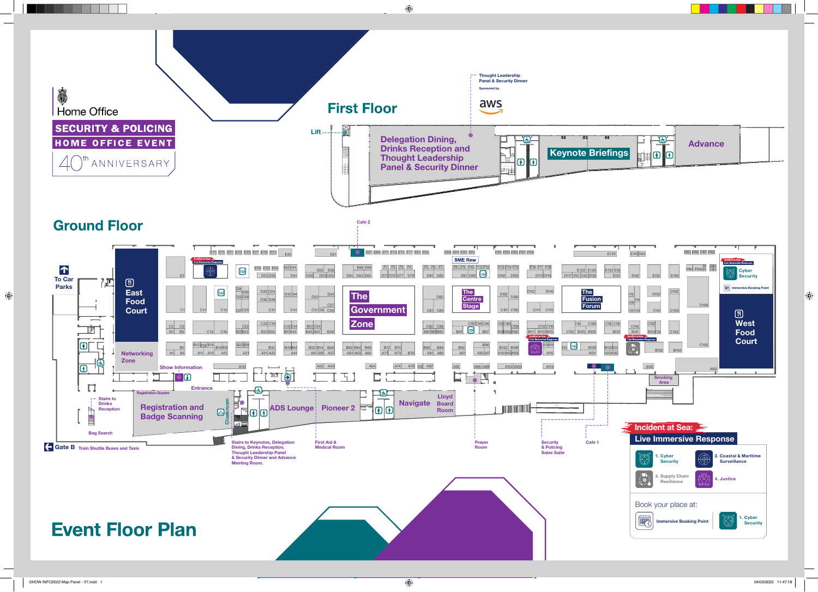